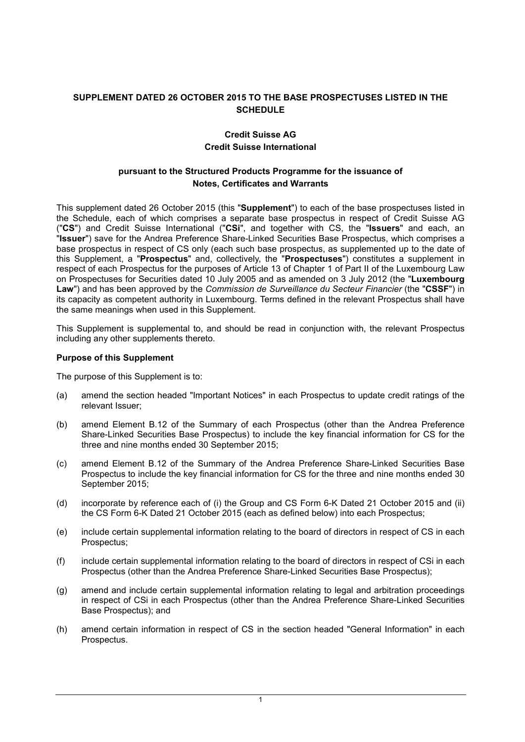# **SUPPLEMENT DATED 26 OCTOBER 2015 TO THE BASE PROSPECTUSES LISTED IN THE SCHEDULE**

# **Credit Suisse AG Credit Suisse International**

### **pursuant to the Structured Products Programme for the issuance of Notes, Certificates and Warrants**

This supplement dated 26 October 2015 (this "**Supplement**") to each of the base prospectuses listed in the Schedule, each of which comprises a separate base prospectus in respect of Credit Suisse AG ("**CS**") and Credit Suisse International ("**CSi**", and together with CS, the "**Issuers**" and each, an "**Issuer**") save for the Andrea Preference Share-Linked Securities Base Prospectus, which comprises a base prospectus in respect of CS only (each such base prospectus, as supplemented up to the date of this Supplement, a "**Prospectus**" and, collectively, the "**Prospectuses**") constitutes a supplement in respect of each Prospectus for the purposes of Article 13 of Chapter 1 of Part II of the Luxembourg Law on Prospectuses for Securities dated 10 July 2005 and as amended on 3 July 2012 (the "**Luxembourg Law**") and has been approved by the *Commission de Surveillance du Secteur Financier* (the "**CSSF**") in its capacity as competent authority in Luxembourg. Terms defined in the relevant Prospectus shall have the same meanings when used in this Supplement.

This Supplement is supplemental to, and should be read in conjunction with, the relevant Prospectus including any other supplements thereto.

### **Purpose of this Supplement**

The purpose of this Supplement is to:

- (a) amend the section headed "Important Notices" in each Prospectus to update credit ratings of the relevant Issuer;
- (b) amend Element B.12 of the Summary of each Prospectus (other than the Andrea Preference Share-Linked Securities Base Prospectus) to include the key financial information for CS for the three and nine months ended 30 September 2015;
- (c) amend Element B.12 of the Summary of the Andrea Preference Share-Linked Securities Base Prospectus to include the key financial information for CS for the three and nine months ended 30 September 2015;
- (d) incorporate by reference each of (i) the Group and CS Form 6-K Dated 21 October 2015 and (ii) the CS Form 6-K Dated 21 October 2015 (each as defined below) into each Prospectus;
- (e) include certain supplemental information relating to the board of directors in respect of CS in each Prospectus;
- (f) include certain supplemental information relating to the board of directors in respect of CSi in each Prospectus (other than the Andrea Preference Share-Linked Securities Base Prospectus);
- (g) amend and include certain supplemental information relating to legal and arbitration proceedings in respect of CSi in each Prospectus (other than the Andrea Preference Share-Linked Securities Base Prospectus); and
- (h) amend certain information in respect of CS in the section headed "General Information" in each Prospectus.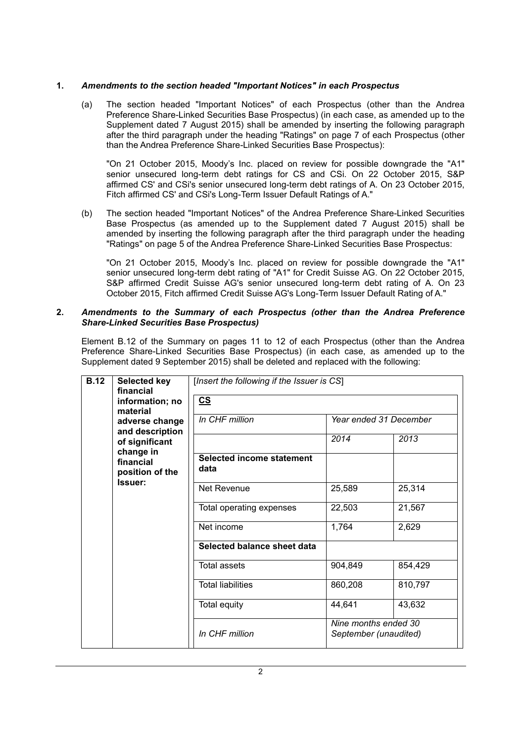### **1.** *Amendments to the section headed "Important Notices" in each Prospectus*

(a) The section headed "Important Notices" of each Prospectus (other than the Andrea Preference Share-Linked Securities Base Prospectus) (in each case, as amended up to the Supplement dated 7 August 2015) shall be amended by inserting the following paragraph after the third paragraph under the heading "Ratings" on page 7 of each Prospectus (other than the Andrea Preference Share-Linked Securities Base Prospectus):

"On 21 October 2015, Moody's Inc. placed on review for possible downgrade the "A1" senior unsecured long-term debt ratings for CS and CSi. On 22 October 2015, S&P affirmed CS' and CSi's senior unsecured long-term debt ratings of A. On 23 October 2015, Fitch affirmed CS' and CSi's Long-Term Issuer Default Ratings of A."

(b) The section headed "Important Notices" of the Andrea Preference Share-Linked Securities Base Prospectus (as amended up to the Supplement dated 7 August 2015) shall be amended by inserting the following paragraph after the third paragraph under the heading "Ratings" on page 5 of the Andrea Preference Share-Linked Securities Base Prospectus:

"On 21 October 2015, Moody's Inc. placed on review for possible downgrade the "A1" senior unsecured long-term debt rating of "A1" for Credit Suisse AG. On 22 October 2015, S&P affirmed Credit Suisse AG's senior unsecured long-term debt rating of A. On 23 October 2015, Fitch affirmed Credit Suisse AG's Long-Term Issuer Default Rating of A."

#### **2.** *Amendments to the Summary of each Prospectus (other than the Andrea Preference Share-Linked Securities Base Prospectus)*

Element B.12 of the Summary on pages 11 to 12 of each Prospectus (other than the Andrea Preference Share-Linked Securities Base Prospectus) (in each case, as amended up to the Supplement dated 9 September 2015) shall be deleted and replaced with the following:

| <b>B.12</b>                                          | <b>Selected key</b><br>financial  | [Insert the following if the Issuer is CS] |                                               |         |
|------------------------------------------------------|-----------------------------------|--------------------------------------------|-----------------------------------------------|---------|
|                                                      | information; no<br>material       | $\underline{\mathsf{CS}}$                  |                                               |         |
|                                                      | adverse change<br>and description | In CHF million                             | Year ended 31 December                        |         |
|                                                      | of significant                    |                                            | 2014                                          | 2013    |
| change in<br>financial<br>position of the<br>Issuer: |                                   | <b>Selected income statement</b><br>data   |                                               |         |
|                                                      |                                   | Net Revenue                                | 25,589                                        | 25,314  |
|                                                      |                                   | Total operating expenses                   | 22,503                                        | 21,567  |
|                                                      |                                   | Net income                                 | 1,764                                         | 2,629   |
|                                                      |                                   | Selected balance sheet data                |                                               |         |
|                                                      | <b>Total assets</b>               | 904,849                                    | 854,429                                       |         |
|                                                      |                                   | <b>Total liabilities</b>                   | 860,208                                       | 810,797 |
|                                                      |                                   | Total equity                               | 44,641                                        | 43,632  |
|                                                      |                                   | In CHF million                             | Nine months ended 30<br>September (unaudited) |         |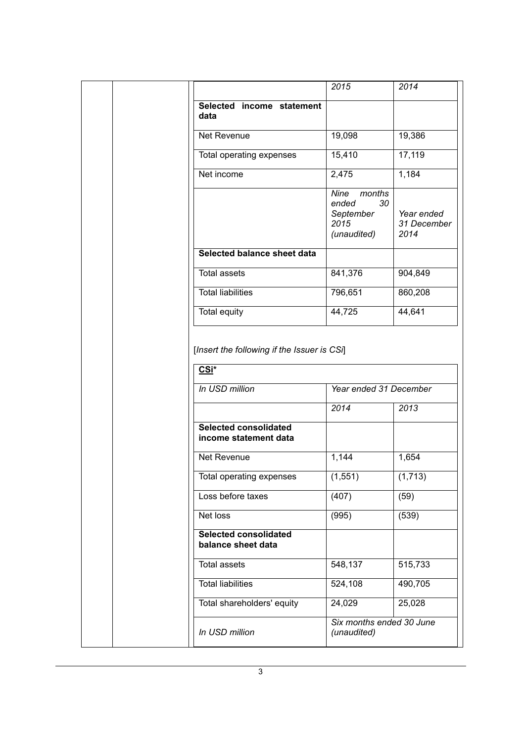|                                                                                                                                                             | 2015                                                              | 2014                              |
|-------------------------------------------------------------------------------------------------------------------------------------------------------------|-------------------------------------------------------------------|-----------------------------------|
| Selected income statement<br>data                                                                                                                           |                                                                   |                                   |
| Net Revenue                                                                                                                                                 | 19,098                                                            | 19,386                            |
| Total operating expenses                                                                                                                                    | 15,410                                                            | 17,119                            |
| Net income                                                                                                                                                  | 2,475                                                             | 1,184                             |
|                                                                                                                                                             | Nine<br>months<br>ended<br>30<br>September<br>2015<br>(unaudited) | Year ended<br>31 December<br>2014 |
| Selected balance sheet data                                                                                                                                 |                                                                   |                                   |
| <b>Total assets</b>                                                                                                                                         | 841,376                                                           | 904,849                           |
| <b>Total liabilities</b>                                                                                                                                    | 796,651                                                           | 860,208                           |
| <b>Total equity</b>                                                                                                                                         | 44,725                                                            | 44,641                            |
| In USD million                                                                                                                                              | Year ended 31 December                                            |                                   |
|                                                                                                                                                             |                                                                   |                                   |
|                                                                                                                                                             | 2014                                                              | 2013                              |
|                                                                                                                                                             |                                                                   |                                   |
|                                                                                                                                                             | 1,144                                                             | 1,654                             |
| Total operating expenses                                                                                                                                    | (1, 551)                                                          | (1,713)                           |
|                                                                                                                                                             | (407)                                                             | (59)                              |
|                                                                                                                                                             | (995)                                                             | (539)                             |
| <b>Selected consolidated</b><br>income statement data<br>Net Revenue<br>Loss before taxes<br>Net loss<br><b>Selected consolidated</b><br>balance sheet data |                                                                   |                                   |
| <b>Total assets</b>                                                                                                                                         | 548,137                                                           | 515,733                           |
|                                                                                                                                                             | 524,108                                                           | 490,705                           |
| <b>Total liabilities</b><br>Total shareholders' equity                                                                                                      | 24,029                                                            | 25,028                            |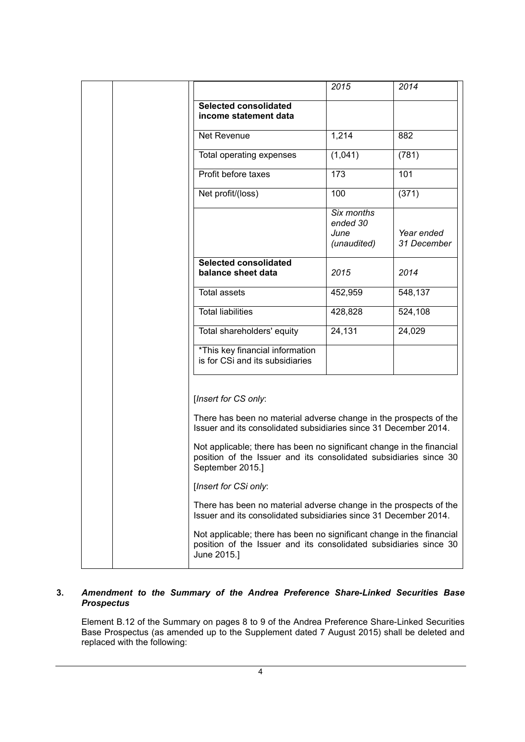|                                                                                                                                                                | 2015                                          | 2014                      |
|----------------------------------------------------------------------------------------------------------------------------------------------------------------|-----------------------------------------------|---------------------------|
| <b>Selected consolidated</b><br>income statement data                                                                                                          |                                               |                           |
| Net Revenue                                                                                                                                                    | 1,214                                         | 882                       |
| Total operating expenses                                                                                                                                       | (1,041)                                       | (781)                     |
| Profit before taxes                                                                                                                                            | 173                                           | 10 <sub>1</sub>           |
| Net profit/(loss)                                                                                                                                              | 100                                           | (371)                     |
|                                                                                                                                                                | Six months<br>ended 30<br>June<br>(unaudited) | Year ended<br>31 December |
| <b>Selected consolidated</b><br>balance sheet data                                                                                                             | 2015                                          | 2014                      |
| <b>Total assets</b>                                                                                                                                            | 452,959                                       | 548,137                   |
| <b>Total liabilities</b>                                                                                                                                       | 428,828                                       | 524,108                   |
| Total shareholders' equity                                                                                                                                     | 24,131                                        | 24,029                    |
| *This key financial information<br>is for CSi and its subsidiaries                                                                                             |                                               |                           |
| [Insert for CS only:                                                                                                                                           |                                               |                           |
| There has been no material adverse change in the prospects of the<br>Issuer and its consolidated subsidiaries since 31 December 2014.                          |                                               |                           |
| Not applicable; there has been no significant change in the financial<br>position of the Issuer and its consolidated subsidiaries since 30<br>September 2015.] |                                               |                           |
| [Insert for CSi only:                                                                                                                                          |                                               |                           |
| There has been no material adverse change in the prospects of the<br>Issuer and its consolidated subsidiaries since 31 December 2014.                          |                                               |                           |
| Not applicable; there has been no significant change in the financial<br>position of the Issuer and its consolidated subsidiaries since 30<br>June 2015.]      |                                               |                           |

# **3.** *Amendment to the Summary of the Andrea Preference Share-Linked Securities Base Prospectus*

Element B.12 of the Summary on pages 8 to 9 of the Andrea Preference Share-Linked Securities Base Prospectus (as amended up to the Supplement dated 7 August 2015) shall be deleted and replaced with the following: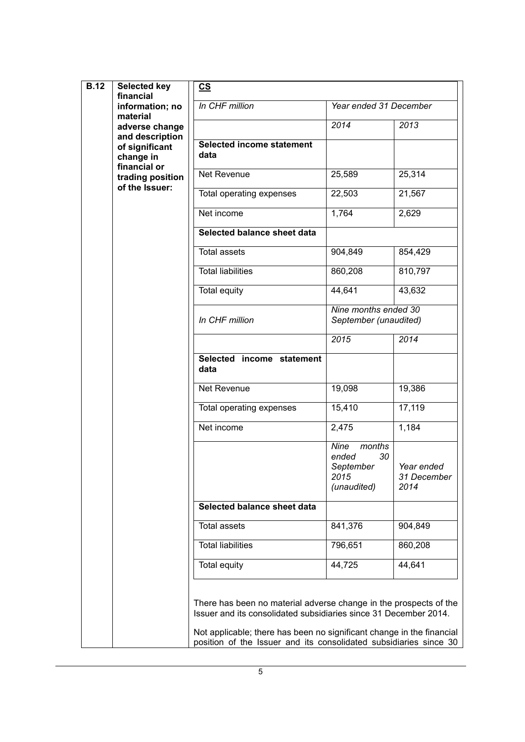| <b>B.12</b>                | <b>Selected key</b><br>financial<br>information; no | $\underline{\mathsf{CS}}$                                                                                                                                                                                                                                                           |                                                                   |                                   |
|----------------------------|-----------------------------------------------------|-------------------------------------------------------------------------------------------------------------------------------------------------------------------------------------------------------------------------------------------------------------------------------------|-------------------------------------------------------------------|-----------------------------------|
| material<br>adverse change |                                                     | In CHF million                                                                                                                                                                                                                                                                      | Year ended 31 December                                            |                                   |
|                            |                                                     | 2014                                                                                                                                                                                                                                                                                | 2013                                                              |                                   |
|                            | and description<br>of significant<br>change in      | <b>Selected income statement</b><br>data                                                                                                                                                                                                                                            |                                                                   |                                   |
|                            | financial or<br>trading position<br>of the Issuer:  | Net Revenue                                                                                                                                                                                                                                                                         | 25,589                                                            | 25,314                            |
|                            |                                                     | Total operating expenses                                                                                                                                                                                                                                                            | 22,503                                                            | 21,567                            |
|                            |                                                     | Net income                                                                                                                                                                                                                                                                          | 1,764                                                             | 2,629                             |
|                            |                                                     | Selected balance sheet data                                                                                                                                                                                                                                                         |                                                                   |                                   |
|                            |                                                     | <b>Total assets</b>                                                                                                                                                                                                                                                                 | 904,849                                                           | 854,429                           |
|                            |                                                     | <b>Total liabilities</b>                                                                                                                                                                                                                                                            | 860,208                                                           | 810,797                           |
|                            |                                                     | Total equity                                                                                                                                                                                                                                                                        | 44,641                                                            | 43,632                            |
|                            |                                                     | In CHF million                                                                                                                                                                                                                                                                      | Nine months ended 30<br>September (unaudited)                     |                                   |
|                            |                                                     |                                                                                                                                                                                                                                                                                     | 2015                                                              | 2014                              |
|                            |                                                     | Selected income statement<br>data                                                                                                                                                                                                                                                   |                                                                   |                                   |
|                            |                                                     | Net Revenue                                                                                                                                                                                                                                                                         | 19,098                                                            | 19,386                            |
|                            |                                                     | Total operating expenses                                                                                                                                                                                                                                                            | 15,410                                                            | 17,119                            |
|                            | Net income                                          | 2,475                                                                                                                                                                                                                                                                               | 1,184                                                             |                                   |
|                            |                                                     |                                                                                                                                                                                                                                                                                     | Nine<br>months<br>ended<br>30<br>September<br>2015<br>(unaudited) | Year ended<br>31 December<br>2014 |
|                            |                                                     | Selected balance sheet data                                                                                                                                                                                                                                                         |                                                                   |                                   |
|                            |                                                     | <b>Total assets</b>                                                                                                                                                                                                                                                                 | 841,376                                                           | 904,849                           |
|                            |                                                     | <b>Total liabilities</b>                                                                                                                                                                                                                                                            | 796,651                                                           | 860,208                           |
|                            |                                                     | <b>Total equity</b>                                                                                                                                                                                                                                                                 | 44,725                                                            | 44,641                            |
|                            |                                                     | There has been no material adverse change in the prospects of the<br>Issuer and its consolidated subsidiaries since 31 December 2014.<br>Not applicable; there has been no significant change in the financial<br>position of the Issuer and its consolidated subsidiaries since 30 |                                                                   |                                   |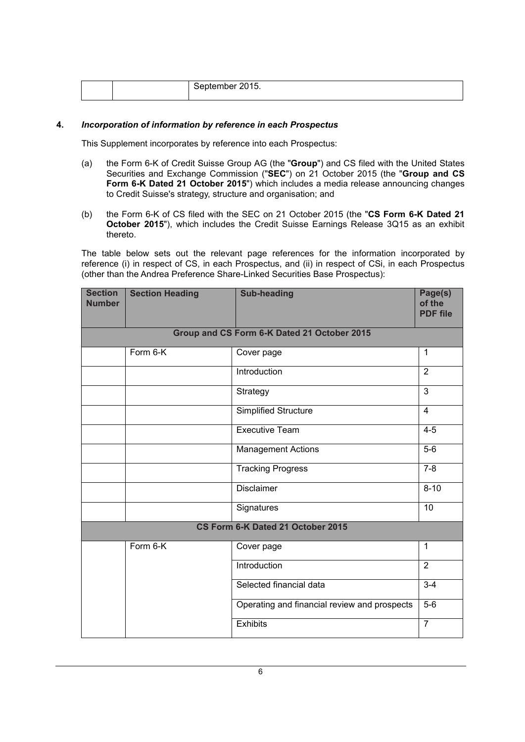|  |  | September 2015. |
|--|--|-----------------|
|--|--|-----------------|

#### **4.** *Incorporation of information by reference in each Prospectus*

This Supplement incorporates by reference into each Prospectus:

- (a) the Form 6-K of Credit Suisse Group AG (the "**Group**") and CS filed with the United States Securities and Exchange Commission ("**SEC**") on 21 October 2015 (the "**Group and CS Form 6-K Dated 21 October 2015**") which includes a media release announcing changes to Credit Suisse's strategy, structure and organisation; and
- (b) the Form 6-K of CS filed with the SEC on 21 October 2015 (the "**CS Form 6-K Dated 21 October 2015**"), which includes the Credit Suisse Earnings Release 3Q15 as an exhibit thereto.

The table below sets out the relevant page references for the information incorporated by reference (i) in respect of CS, in each Prospectus, and (ii) in respect of CSi, in each Prospectus (other than the Andrea Preference Share-Linked Securities Base Prospectus):

| <b>Section</b><br><b>Number</b> | <b>Section Heading</b> | <b>Sub-heading</b>                           | Page(s)<br>of the<br><b>PDF file</b> |
|---------------------------------|------------------------|----------------------------------------------|--------------------------------------|
|                                 |                        | Group and CS Form 6-K Dated 21 October 2015  |                                      |
|                                 | Form 6-K               | Cover page                                   | $\mathbf{1}$                         |
|                                 |                        | Introduction                                 | $\overline{2}$                       |
|                                 |                        | Strategy                                     | $\overline{3}$                       |
|                                 |                        | <b>Simplified Structure</b>                  | $\overline{4}$                       |
|                                 |                        | <b>Executive Team</b>                        | $4 - 5$                              |
|                                 |                        | <b>Management Actions</b>                    | $5-6$                                |
|                                 |                        | <b>Tracking Progress</b>                     | $7 - 8$                              |
|                                 |                        | <b>Disclaimer</b>                            | $8 - 10$                             |
|                                 |                        | Signatures                                   | 10                                   |
|                                 |                        | CS Form 6-K Dated 21 October 2015            |                                      |
|                                 | Form 6-K               | Cover page                                   | $\mathbf{1}$                         |
|                                 |                        | Introduction                                 | $\overline{2}$                       |
|                                 |                        | Selected financial data                      | $3 - 4$                              |
|                                 |                        | Operating and financial review and prospects | $5-6$                                |
|                                 |                        | Exhibits                                     | $\overline{7}$                       |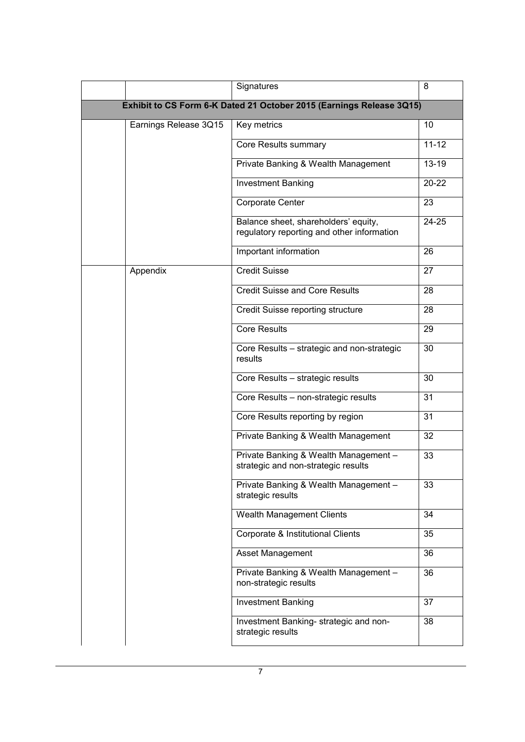|                       | Signatures                                                                         | 8         |
|-----------------------|------------------------------------------------------------------------------------|-----------|
|                       | Exhibit to CS Form 6-K Dated 21 October 2015 (Earnings Release 3Q15)               |           |
| Earnings Release 3Q15 | Key metrics                                                                        | 10        |
|                       | Core Results summary                                                               | $11 - 12$ |
|                       | Private Banking & Wealth Management                                                | $13 - 19$ |
|                       | <b>Investment Banking</b>                                                          | 20-22     |
|                       | Corporate Center                                                                   | 23        |
|                       | Balance sheet, shareholders' equity,<br>regulatory reporting and other information | $24 - 25$ |
|                       | Important information                                                              | 26        |
| Appendix              | <b>Credit Suisse</b>                                                               | 27        |
|                       | <b>Credit Suisse and Core Results</b>                                              | 28        |
|                       | Credit Suisse reporting structure                                                  | 28        |
|                       | <b>Core Results</b>                                                                | 29        |
|                       | Core Results - strategic and non-strategic<br>results                              | 30        |
|                       | Core Results - strategic results                                                   | 30        |
|                       | Core Results - non-strategic results                                               | 31        |
|                       | Core Results reporting by region                                                   | 31        |
|                       | Private Banking & Wealth Management                                                | 32        |
|                       | Private Banking & Wealth Management -<br>strategic and non-strategic results       | 33        |
|                       | Private Banking & Wealth Management -<br>strategic results                         | 33        |
|                       | Wealth Management Clients                                                          | 34        |
|                       | Corporate & Institutional Clients                                                  | 35        |
|                       | Asset Management                                                                   | 36        |
|                       | Private Banking & Wealth Management -<br>non-strategic results                     | 36        |
|                       | <b>Investment Banking</b>                                                          | 37        |
|                       | Investment Banking- strategic and non-<br>strategic results                        | 38        |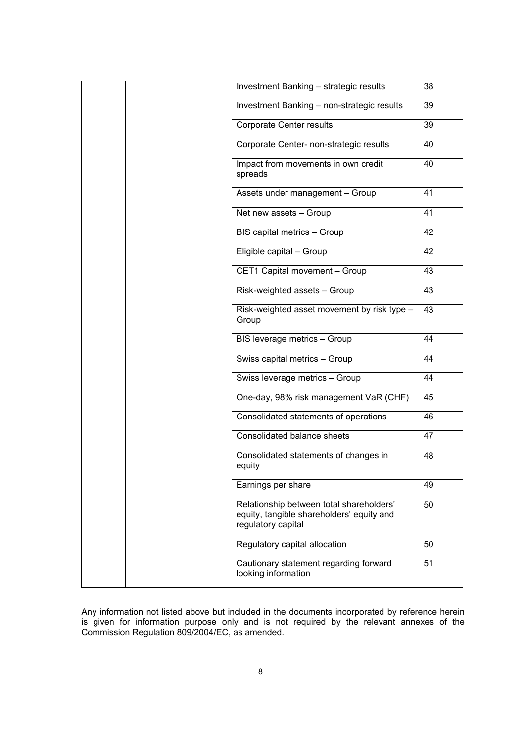| Investment Banking - strategic results                                                                      | 38 |
|-------------------------------------------------------------------------------------------------------------|----|
| Investment Banking - non-strategic results                                                                  | 39 |
| Corporate Center results                                                                                    | 39 |
| Corporate Center- non-strategic results                                                                     | 40 |
| Impact from movements in own credit<br>spreads                                                              | 40 |
| Assets under management - Group                                                                             | 41 |
| Net new assets - Group                                                                                      | 41 |
| BIS capital metrics - Group                                                                                 | 42 |
| Eligible capital - Group                                                                                    | 42 |
| CET1 Capital movement - Group                                                                               | 43 |
| Risk-weighted assets - Group                                                                                | 43 |
| Risk-weighted asset movement by risk type -<br>Group                                                        | 43 |
| BIS leverage metrics - Group                                                                                | 44 |
| Swiss capital metrics - Group                                                                               | 44 |
| Swiss leverage metrics - Group                                                                              | 44 |
| One-day, 98% risk management VaR (CHF)                                                                      | 45 |
| Consolidated statements of operations                                                                       | 46 |
| Consolidated balance sheets                                                                                 | 47 |
| Consolidated statements of changes in<br>equity                                                             | 48 |
| Earnings per share                                                                                          | 49 |
| Relationship between total shareholders'<br>equity, tangible shareholders' equity and<br>regulatory capital | 50 |
| Regulatory capital allocation                                                                               | 50 |
| Cautionary statement regarding forward                                                                      | 51 |

Any information not listed above but included in the documents incorporated by reference herein is given for information purpose only and is not required by the relevant annexes of the Commission Regulation 809/2004/EC, as amended.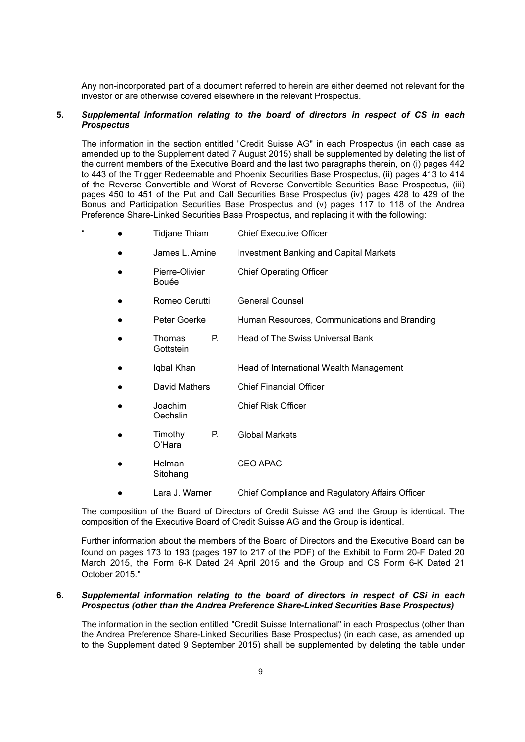Any non-incorporated part of a document referred to herein are either deemed not relevant for the investor or are otherwise covered elsewhere in the relevant Prospectus.

### **5.** *Supplemental information relating to the board of directors in respect of CS in each Prospectus*

The information in the section entitled "Credit Suisse AG" in each Prospectus (in each case as amended up to the Supplement dated 7 August 2015) shall be supplemented by deleting the list of the current members of the Executive Board and the last two paragraphs therein, on (i) pages 442 to 443 of the Trigger Redeemable and Phoenix Securities Base Prospectus, (ii) pages 413 to 414 of the Reverse Convertible and Worst of Reverse Convertible Securities Base Prospectus, (iii) pages 450 to 451 of the Put and Call Securities Base Prospectus (iv) pages 428 to 429 of the Bonus and Participation Securities Base Prospectus and (v) pages 117 to 118 of the Andrea Preference Share-Linked Securities Base Prospectus, and replacing it with the following:

- Tidjane Thiam Chief Executive Officer
	- James L. Amine Investment Banking and Capital Markets
	- Pierre-Olivier Bouée Chief Operating Officer Romeo Cerutti **General Counsel**
	- Peter Goerke Human Resources, Communications and Branding
		- Thomas P. Head of The Swiss Universal Bank
	- Igbal Khan Head of International Wealth Management
	- David Mathers Chief Financial Officer
	- **Joachim Oechslin** Chief Risk Officer
	- Timothy P. O'Hara Global Markets

**Gottstein** 

- **Helman Sitohang** CEO APAC
- Lara J. Warner Chief Compliance and Regulatory Affairs Officer

The composition of the Board of Directors of Credit Suisse AG and the Group is identical. The composition of the Executive Board of Credit Suisse AG and the Group is identical.

Further information about the members of the Board of Directors and the Executive Board can be found on pages 173 to 193 (pages 197 to 217 of the PDF) of the Exhibit to Form 20-F Dated 20 March 2015, the Form 6-K Dated 24 April 2015 and the Group and CS Form 6-K Dated 21 October 2015."

### **6.** *Supplemental information relating to the board of directors in respect of CSi in each Prospectus (other than the Andrea Preference Share-Linked Securities Base Prospectus)*

The information in the section entitled "Credit Suisse International" in each Prospectus (other than the Andrea Preference Share-Linked Securities Base Prospectus) (in each case, as amended up to the Supplement dated 9 September 2015) shall be supplemented by deleting the table under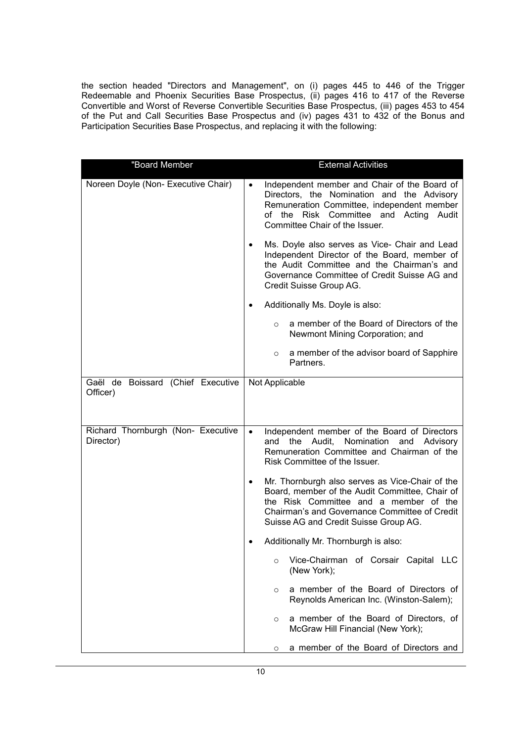the section headed "Directors and Management", on (i) pages 445 to 446 of the Trigger Redeemable and Phoenix Securities Base Prospectus, (ii) pages 416 to 417 of the Reverse Convertible and Worst of Reverse Convertible Securities Base Prospectus, (iii) pages 453 to 454 of the Put and Call Securities Base Prospectus and (iv) pages 431 to 432 of the Bonus and Participation Securities Base Prospectus, and replacing it with the following:

| "Board Member                                   | <b>External Activities</b>                                                                                                                                                                                                                         |
|-------------------------------------------------|----------------------------------------------------------------------------------------------------------------------------------------------------------------------------------------------------------------------------------------------------|
| Noreen Doyle (Non- Executive Chair)             | Independent member and Chair of the Board of<br>$\bullet$<br>Directors, the Nomination and the Advisory<br>Remuneration Committee, independent member<br>of the Risk Committee and Acting<br>Audit<br>Committee Chair of the Issuer.               |
|                                                 | Ms. Doyle also serves as Vice- Chair and Lead<br>$\bullet$<br>Independent Director of the Board, member of<br>the Audit Committee and the Chairman's and<br>Governance Committee of Credit Suisse AG and<br>Credit Suisse Group AG.                |
|                                                 | Additionally Ms. Doyle is also:                                                                                                                                                                                                                    |
|                                                 | a member of the Board of Directors of the<br>$\circ$<br>Newmont Mining Corporation; and                                                                                                                                                            |
|                                                 | a member of the advisor board of Sapphire<br>$\circ$<br>Partners.                                                                                                                                                                                  |
| Gaël de Boissard (Chief Executive<br>Officer)   | Not Applicable                                                                                                                                                                                                                                     |
| Richard Thornburgh (Non- Executive<br>Director) | Independent member of the Board of Directors<br>$\bullet$<br>Nomination<br>and<br>the Audit,<br>and Advisory<br>Remuneration Committee and Chairman of the<br>Risk Committee of the Issuer.                                                        |
|                                                 | Mr. Thornburgh also serves as Vice-Chair of the<br>$\bullet$<br>Board, member of the Audit Committee, Chair of<br>the Risk Committee and a member of the<br>Chairman's and Governance Committee of Credit<br>Suisse AG and Credit Suisse Group AG. |
|                                                 | Additionally Mr. Thornburgh is also:                                                                                                                                                                                                               |
|                                                 | Vice-Chairman of Corsair Capital LLC<br>$\circ$<br>(New York);                                                                                                                                                                                     |
|                                                 | a member of the Board of Directors of<br>$\circ$<br>Reynolds American Inc. (Winston-Salem);                                                                                                                                                        |
|                                                 | a member of the Board of Directors, of<br>$\circ$<br>McGraw Hill Financial (New York);                                                                                                                                                             |
|                                                 | a member of the Board of Directors and<br>$\circ$                                                                                                                                                                                                  |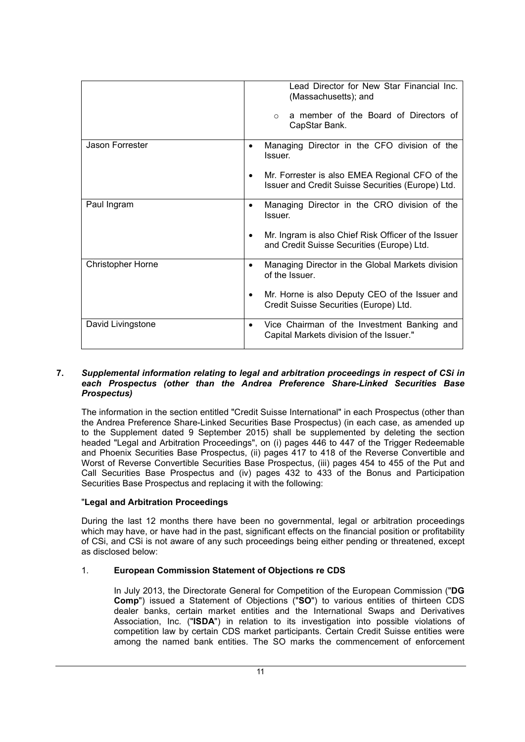|                          | Lead Director for New Star Financial Inc.<br>(Massachusetts); and<br>a member of the Board of Directors of<br>$\circ$<br>CapStar Bank.                                      |
|--------------------------|-----------------------------------------------------------------------------------------------------------------------------------------------------------------------------|
| Jason Forrester          | Managing Director in the CFO division of the<br>$\bullet$<br>Issuer.<br>Mr. Forrester is also EMEA Regional CFO of the<br>Issuer and Credit Suisse Securities (Europe) Ltd. |
| Paul Ingram              | Managing Director in the CRO division of the<br>$\bullet$<br>Issuer.<br>Mr. Ingram is also Chief Risk Officer of the Issuer<br>and Credit Suisse Securities (Europe) Ltd.   |
| <b>Christopher Horne</b> | Managing Director in the Global Markets division<br>$\bullet$<br>of the Issuer.<br>Mr. Horne is also Deputy CEO of the Issuer and<br>Credit Suisse Securities (Europe) Ltd. |
| David Livingstone        | Vice Chairman of the Investment Banking and<br>$\bullet$<br>Capital Markets division of the Issuer."                                                                        |

#### **7.** *Supplemental information relating to legal and arbitration proceedings in respect of CSi in each Prospectus (other than the Andrea Preference Share-Linked Securities Base Prospectus)*

The information in the section entitled "Credit Suisse International" in each Prospectus (other than the Andrea Preference Share-Linked Securities Base Prospectus) (in each case, as amended up to the Supplement dated 9 September 2015) shall be supplemented by deleting the section headed "Legal and Arbitration Proceedings", on (i) pages 446 to 447 of the Trigger Redeemable and Phoenix Securities Base Prospectus, (ii) pages 417 to 418 of the Reverse Convertible and Worst of Reverse Convertible Securities Base Prospectus, (iii) pages 454 to 455 of the Put and Call Securities Base Prospectus and (iv) pages 432 to 433 of the Bonus and Participation Securities Base Prospectus and replacing it with the following:

### "**Legal and Arbitration Proceedings**

During the last 12 months there have been no governmental, legal or arbitration proceedings which may have, or have had in the past, significant effects on the financial position or profitability of CSi, and CSi is not aware of any such proceedings being either pending or threatened, except as disclosed below:

### 1. **European Commission Statement of Objections re CDS**

In July 2013, the Directorate General for Competition of the European Commission ("**DG Comp**") issued a Statement of Objections ("**SO**") to various entities of thirteen CDS dealer banks, certain market entities and the International Swaps and Derivatives Association, Inc. ("**ISDA**") in relation to its investigation into possible violations of competition law by certain CDS market participants. Certain Credit Suisse entities were among the named bank entities. The SO marks the commencement of enforcement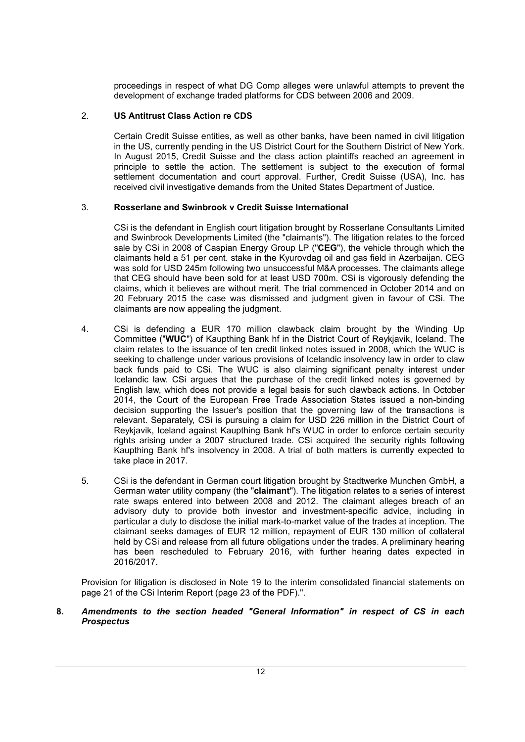proceedings in respect of what DG Comp alleges were unlawful attempts to prevent the development of exchange traded platforms for CDS between 2006 and 2009.

# 2. **US Antitrust Class Action re CDS**

Certain Credit Suisse entities, as well as other banks, have been named in civil litigation in the US, currently pending in the US District Court for the Southern District of New York. In August 2015, Credit Suisse and the class action plaintiffs reached an agreement in principle to settle the action. The settlement is subject to the execution of formal settlement documentation and court approval. Further, Credit Suisse (USA), Inc. has received civil investigative demands from the United States Department of Justice.

### 3. **Rosserlane and Swinbrook v Credit Suisse International**

CSi is the defendant in English court litigation brought by Rosserlane Consultants Limited and Swinbrook Developments Limited (the "claimants"). The litigation relates to the forced sale by CSi in 2008 of Caspian Energy Group LP ("**CEG**"), the vehicle through which the claimants held a 51 per cent. stake in the Kyurovdag oil and gas field in Azerbaijan. CEG was sold for USD 245m following two unsuccessful M&A processes. The claimants allege that CEG should have been sold for at least USD 700m. CSi is vigorously defending the claims, which it believes are without merit. The trial commenced in October 2014 and on 20 February 2015 the case was dismissed and judgment given in favour of CSi. The claimants are now appealing the judgment.

- 4. CSi is defending a EUR 170 million clawback claim brought by the Winding Up Committee ("**WUC**") of Kaupthing Bank hf in the District Court of Reykjavik, Iceland. The claim relates to the issuance of ten credit linked notes issued in 2008, which the WUC is seeking to challenge under various provisions of Icelandic insolvency law in order to claw back funds paid to CSi. The WUC is also claiming significant penalty interest under Icelandic law. CSi argues that the purchase of the credit linked notes is governed by English law, which does not provide a legal basis for such clawback actions. In October 2014, the Court of the European Free Trade Association States issued a non-binding decision supporting the Issuer's position that the governing law of the transactions is relevant. Separately, CSi is pursuing a claim for USD 226 million in the District Court of Reykjavik, Iceland against Kaupthing Bank hf's WUC in order to enforce certain security rights arising under a 2007 structured trade. CSi acquired the security rights following Kaupthing Bank hf's insolvency in 2008. A trial of both matters is currently expected to take place in 2017.
- 5. CSi is the defendant in German court litigation brought by Stadtwerke Munchen GmbH, a German water utility company (the "**claimant**"). The litigation relates to a series of interest rate swaps entered into between 2008 and 2012. The claimant alleges breach of an advisory duty to provide both investor and investment-specific advice, including in particular a duty to disclose the initial mark-to-market value of the trades at inception. The claimant seeks damages of EUR 12 million, repayment of EUR 130 million of collateral held by CSi and release from all future obligations under the trades. A preliminary hearing has been rescheduled to February 2016, with further hearing dates expected in 2016/2017.

Provision for litigation is disclosed in Note 19 to the interim consolidated financial statements on page 21 of the CSi Interim Report (page 23 of the PDF).".

#### **8.** *Amendments to the section headed "General Information" in respect of CS in each Prospectus*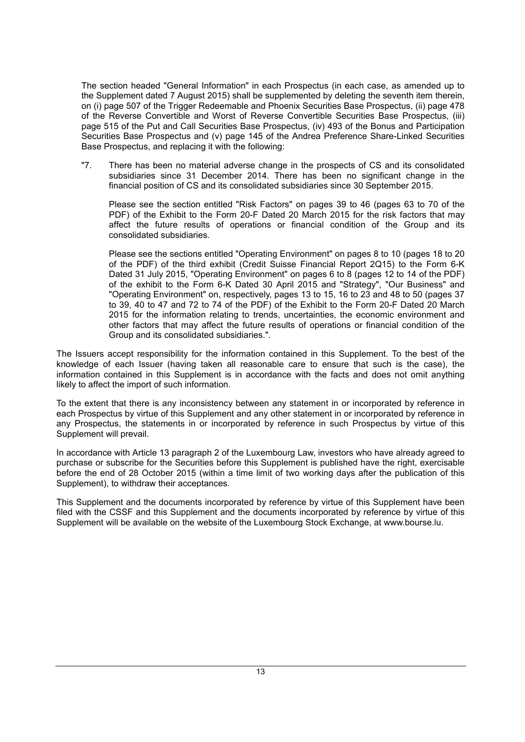The section headed "General Information" in each Prospectus (in each case, as amended up to the Supplement dated 7 August 2015) shall be supplemented by deleting the seventh item therein, on (i) page 507 of the Trigger Redeemable and Phoenix Securities Base Prospectus, (ii) page 478 of the Reverse Convertible and Worst of Reverse Convertible Securities Base Prospectus, (iii) page 515 of the Put and Call Securities Base Prospectus, (iv) 493 of the Bonus and Participation Securities Base Prospectus and (v) page 145 of the Andrea Preference Share-Linked Securities Base Prospectus, and replacing it with the following:

"7. There has been no material adverse change in the prospects of CS and its consolidated subsidiaries since 31 December 2014. There has been no significant change in the financial position of CS and its consolidated subsidiaries since 30 September 2015.

Please see the section entitled "Risk Factors" on pages 39 to 46 (pages 63 to 70 of the PDF) of the Exhibit to the Form 20-F Dated 20 March 2015 for the risk factors that may affect the future results of operations or financial condition of the Group and its consolidated subsidiaries.

Please see the sections entitled "Operating Environment" on pages 8 to 10 (pages 18 to 20 of the PDF) of the third exhibit (Credit Suisse Financial Report 2Q15) to the Form 6-K Dated 31 July 2015, "Operating Environment" on pages 6 to 8 (pages 12 to 14 of the PDF) of the exhibit to the Form 6-K Dated 30 April 2015 and "Strategy", "Our Business" and "Operating Environment" on, respectively, pages 13 to 15, 16 to 23 and 48 to 50 (pages 37 to 39, 40 to 47 and 72 to 74 of the PDF) of the Exhibit to the Form 20-F Dated 20 March 2015 for the information relating to trends, uncertainties, the economic environment and other factors that may affect the future results of operations or financial condition of the Group and its consolidated subsidiaries.".

The Issuers accept responsibility for the information contained in this Supplement. To the best of the knowledge of each Issuer (having taken all reasonable care to ensure that such is the case), the information contained in this Supplement is in accordance with the facts and does not omit anything likely to affect the import of such information.

To the extent that there is any inconsistency between any statement in or incorporated by reference in each Prospectus by virtue of this Supplement and any other statement in or incorporated by reference in any Prospectus, the statements in or incorporated by reference in such Prospectus by virtue of this Supplement will prevail.

In accordance with Article 13 paragraph 2 of the Luxembourg Law, investors who have already agreed to purchase or subscribe for the Securities before this Supplement is published have the right, exercisable before the end of 28 October 2015 (within a time limit of two working days after the publication of this Supplement), to withdraw their acceptances.

This Supplement and the documents incorporated by reference by virtue of this Supplement have been filed with the CSSF and this Supplement and the documents incorporated by reference by virtue of this Supplement will be available on the website of the Luxembourg Stock Exchange, at www.bourse.lu.